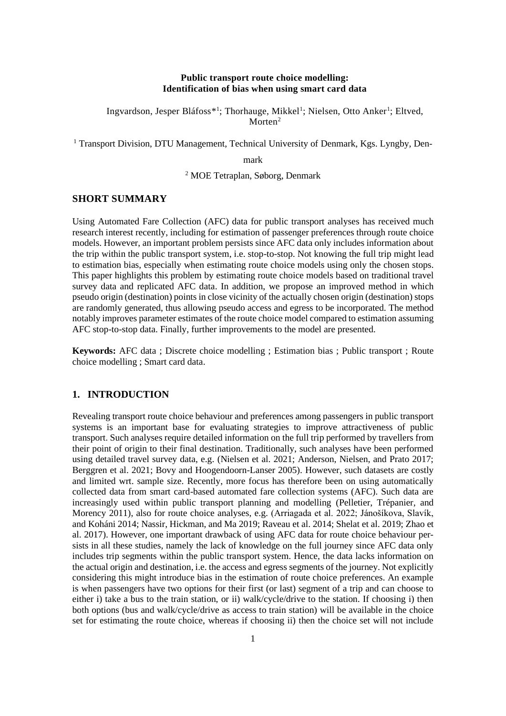#### **Public transport route choice modelling: Identification of bias when using smart card data**

Ingvardson, Jesper Bláfoss<sup>\*1</sup>; Thorhauge, Mikkel<sup>1</sup>; Nielsen, Otto Anker<sup>1</sup>; Eltved, Morten<sup>2</sup>

<sup>1</sup> Transport Division, DTU Management, Technical University of Denmark, Kgs. Lyngby, Den-

mark

<sup>2</sup> MOE Tetraplan, Søborg, Denmark

#### **SHORT SUMMARY**

Using Automated Fare Collection (AFC) data for public transport analyses has received much research interest recently, including for estimation of passenger preferences through route choice models. However, an important problem persists since AFC data only includes information about the trip within the public transport system, i.e. stop-to-stop. Not knowing the full trip might lead to estimation bias, especially when estimating route choice models using only the chosen stops. This paper highlights this problem by estimating route choice models based on traditional travel survey data and replicated AFC data. In addition, we propose an improved method in which pseudo origin (destination) points in close vicinity of the actually chosen origin (destination) stops are randomly generated, thus allowing pseudo access and egress to be incorporated. The method notably improves parameter estimates of the route choice model compared to estimation assuming AFC stop-to-stop data. Finally, further improvements to the model are presented.

**Keywords:** AFC data ; Discrete choice modelling ; Estimation bias ; Public transport ; Route choice modelling ; Smart card data.

## **1. INTRODUCTION**

Revealing transport route choice behaviour and preferences among passengers in public transport systems is an important base for evaluating strategies to improve attractiveness of public transport. Such analyses require detailed information on the full trip performed by travellers from their point of origin to their final destination. Traditionally, such analyses have been performed using detailed travel survey data, e.g. (Nielsen et al. 2021; Anderson, Nielsen, and Prato 2017; Berggren et al. 2021; Bovy and Hoogendoorn-Lanser 2005). However, such datasets are costly and limited wrt. sample size. Recently, more focus has therefore been on using automatically collected data from smart card-based automated fare collection systems (AFC). Such data are increasingly used within public transport planning and modelling (Pelletier, Trépanier, and Morency 2011), also for route choice analyses, e.g. (Arriagada et al. 2022; Jánošíkova, Slavík, and Koháni 2014; Nassir, Hickman, and Ma 2019; Raveau et al. 2014; Shelat et al. 2019; Zhao et al. 2017). However, one important drawback of using AFC data for route choice behaviour persists in all these studies, namely the lack of knowledge on the full journey since AFC data only includes trip segments within the public transport system. Hence, the data lacks information on the actual origin and destination, i.e. the access and egress segments of the journey. Not explicitly considering this might introduce bias in the estimation of route choice preferences. An example is when passengers have two options for their first (or last) segment of a trip and can choose to either i) take a bus to the train station, or ii) walk/cycle/drive to the station. If choosing i) then both options (bus and walk/cycle/drive as access to train station) will be available in the choice set for estimating the route choice, whereas if choosing ii) then the choice set will not include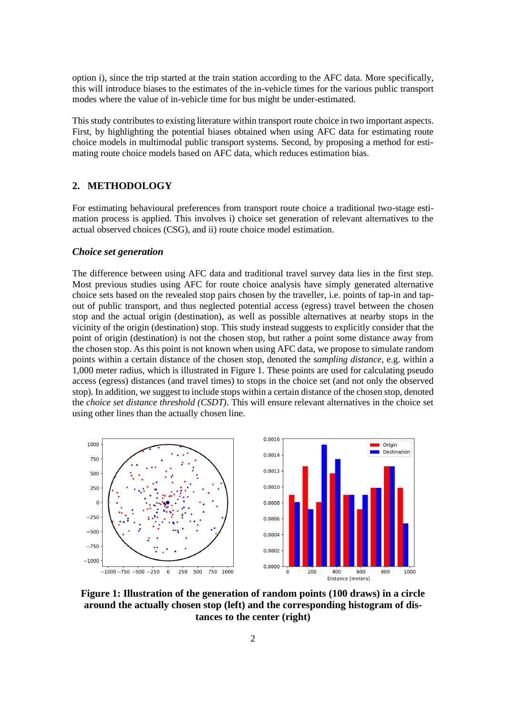option i), since the trip started at the train station according to the AFC data. More specifically, this will introduce biases to the estimates of the in-vehicle times for the various public transport modes where the value of in-vehicle time for bus might be under-estimated.

This study contributes to existing literature within transport route choice in two important aspects. First, by highlighting the potential biases obtained when using AFC data for estimating route choice models in multimodal public transport systems. Second, by proposing a method for estimating route choice models based on AFC data, which reduces estimation bias.

#### **2. METHODOLOGY**

For estimating behavioural preferences from transport route choice a traditional two-stage estimation process is applied. This involves i) choice set generation of relevant alternatives to the actual observed choices (CSG), and ii) route choice model estimation.

#### *Choice set generation*

The difference between using AFC data and traditional travel survey data lies in the first step. Most previous studies using AFC for route choice analysis have simply generated alternative choice sets based on the revealed stop pairs chosen by the traveller, i.e. points of tap-in and tapout of public transport, and thus neglected potential access (egress) travel between the chosen stop and the actual origin (destination), as well as possible alternatives at nearby stops in the vicinity of the origin (destination) stop. This study instead suggests to explicitly consider that the point of origin (destination) is not the chosen stop, but rather a point some distance away from the chosen stop. As this point is not known when using AFC data, we propose to simulate random points within a certain distance of the chosen stop, denoted the *sampling distance*, e.g. within a 1,000 meter radius, which is illustrated in Figure 1. These points are used for calculating pseudo access (egress) distances (and travel times) to stops in the choice set (and not only the observed stop). In addition, we suggest to include stops within a certain distance of the chosen stop, denoted the *choice set distance threshold (CSDT)*. This will ensure relevant alternatives in the choice set using other lines than the actually chosen line.



**Figure 1: Illustration of the generation of random points (100 draws) in a circle around the actually chosen stop (left) and the corresponding histogram of distances to the center (right)**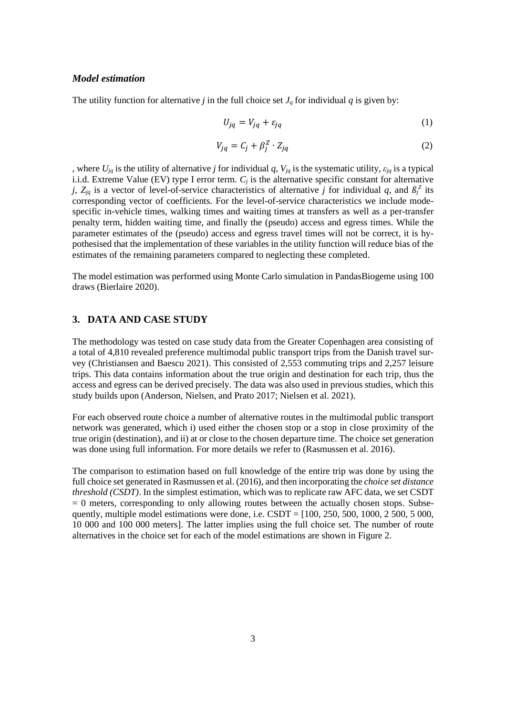#### *Model estimation*

The utility function for alternative *j* in the full choice set  $J_q$  for individual  $q$  is given by:

$$
U_{jq} = V_{jq} + \varepsilon_{jq} \tag{1}
$$

$$
V_{jq} = C_j + \beta_j^Z \cdot Z_{jq} \tag{2}
$$

, where  $U_{jq}$  is the utility of alternative *j* for individual *q*,  $V_{jq}$  is the systematic utility,  $\varepsilon_{jq}$  is a typical i.i.d. Extreme Value (EV) type I error term. *C<sup>j</sup>* is the alternative specific constant for alternative *j*,  $Z_{jq}$  is a vector of level-of-service characteristics of alternative *j* for individual *q*, and  $\beta_j^Z$  its corresponding vector of coefficients. For the level-of-service characteristics we include modespecific in-vehicle times, walking times and waiting times at transfers as well as a per-transfer penalty term, hidden waiting time, and finally the (pseudo) access and egress times. While the parameter estimates of the (pseudo) access and egress travel times will not be correct, it is hypothesised that the implementation of these variables in the utility function will reduce bias of the estimates of the remaining parameters compared to neglecting these completed.

The model estimation was performed using Monte Carlo simulation in PandasBiogeme using 100 draws (Bierlaire 2020).

## **3. DATA AND CASE STUDY**

The methodology was tested on case study data from the Greater Copenhagen area consisting of a total of 4,810 revealed preference multimodal public transport trips from the Danish travel survey (Christiansen and Baescu 2021). This consisted of 2,553 commuting trips and 2,257 leisure trips. This data contains information about the true origin and destination for each trip, thus the access and egress can be derived precisely. The data was also used in previous studies, which this study builds upon (Anderson, Nielsen, and Prato 2017; Nielsen et al. 2021).

For each observed route choice a number of alternative routes in the multimodal public transport network was generated, which i) used either the chosen stop or a stop in close proximity of the true origin (destination), and ii) at or close to the chosen departure time. The choice set generation was done using full information. For more details we refer to (Rasmussen et al. 2016).

The comparison to estimation based on full knowledge of the entire trip was done by using the full choice set generated in Rasmussen et al. (2016), and then incorporating the *choice set distance threshold (CSDT)*. In the simplest estimation, which was to replicate raw AFC data, we set CSDT  $= 0$  meters, corresponding to only allowing routes between the actually chosen stops. Subsequently, multiple model estimations were done, i.e.  $CSDT = [100, 250, 500, 1000, 2500, 5000,$ 10 000 and 100 000 meters]. The latter implies using the full choice set. The number of route alternatives in the choice set for each of the model estimations are shown in Figure 2.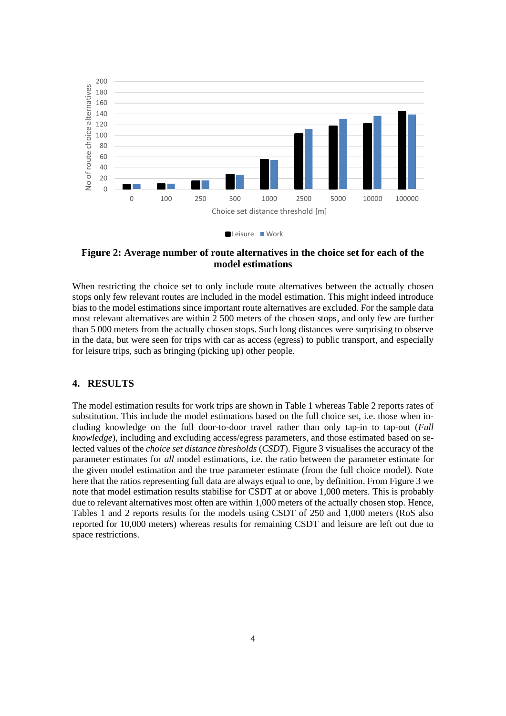



## **Figure 2: Average number of route alternatives in the choice set for each of the model estimations**

When restricting the choice set to only include route alternatives between the actually chosen stops only few relevant routes are included in the model estimation. This might indeed introduce bias to the model estimations since important route alternatives are excluded. For the sample data most relevant alternatives are within 2 500 meters of the chosen stops, and only few are further than 5 000 meters from the actually chosen stops. Such long distances were surprising to observe in the data, but were seen for trips with car as access (egress) to public transport, and especially for leisure trips, such as bringing (picking up) other people.

## **4. RESULTS**

The model estimation results for work trips are shown in Table 1 whereas Table 2 reports rates of substitution. This include the model estimations based on the full choice set, i.e. those when including knowledge on the full door-to-door travel rather than only tap-in to tap-out (*Full knowledge*), including and excluding access/egress parameters, and those estimated based on selected values of the *choice set distance thresholds* (*CSDT*). Figure 3 visualises the accuracy of the parameter estimates for *all* model estimations, i.e. the ratio between the parameter estimate for the given model estimation and the true parameter estimate (from the full choice model). Note here that the ratios representing full data are always equal to one, by definition. From Figure 3 we note that model estimation results stabilise for CSDT at or above 1,000 meters. This is probably due to relevant alternatives most often are within 1,000 meters of the actually chosen stop. Hence, Tables 1 and 2 reports results for the models using CSDT of 250 and 1,000 meters (RoS also reported for 10,000 meters) whereas results for remaining CSDT and leisure are left out due to space restrictions.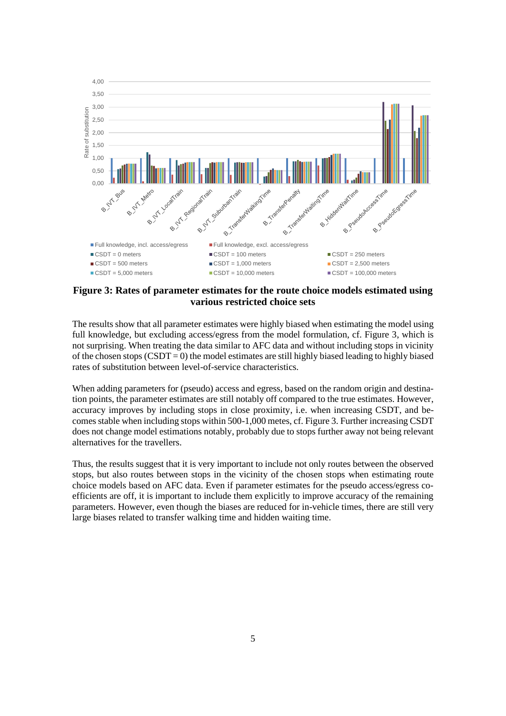

**Figure 3: Rates of parameter estimates for the route choice models estimated using various restricted choice sets** 

The results show that all parameter estimates were highly biased when estimating the model using full knowledge, but excluding access/egress from the model formulation, cf. Figure 3, which is not surprising. When treating the data similar to AFC data and without including stops in vicinity of the chosen stops  $(CSDT = 0)$  the model estimates are still highly biased leading to highly biased rates of substitution between level-of-service characteristics.

When adding parameters for (pseudo) access and egress, based on the random origin and destination points, the parameter estimates are still notably off compared to the true estimates. However, accuracy improves by including stops in close proximity, i.e. when increasing CSDT, and becomes stable when including stops within 500-1,000 metes, cf. Figure 3. Further increasing CSDT does not change model estimations notably, probably due to stops further away not being relevant alternatives for the travellers.

Thus, the results suggest that it is very important to include not only routes between the observed stops, but also routes between stops in the vicinity of the chosen stops when estimating route choice models based on AFC data. Even if parameter estimates for the pseudo access/egress coefficients are off, it is important to include them explicitly to improve accuracy of the remaining parameters. However, even though the biases are reduced for in-vehicle times, there are still very large biases related to transfer walking time and hidden waiting time.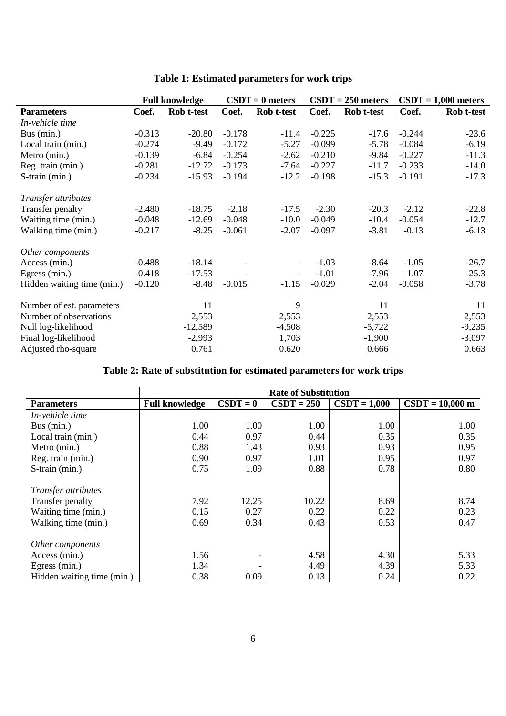|                            |          | <b>Full knowledge</b> | $CSDT = 0$ meters |                          | $CSDT = 250$ meters |            | $CSDT = 1,000$ meters |            |
|----------------------------|----------|-----------------------|-------------------|--------------------------|---------------------|------------|-----------------------|------------|
| <b>Parameters</b>          | Coef.    | Rob t-test            | Coef.             | Rob t-test               | Coef.               | Rob t-test | Coef.                 | Rob t-test |
| In-vehicle time            |          |                       |                   |                          |                     |            |                       |            |
| Bus (min.)                 | $-0.313$ | $-20.80$              | $-0.178$          | $-11.4$                  | $-0.225$            | $-17.6$    | $-0.244$              | $-23.6$    |
| Local train (min.)         | $-0.274$ | $-9.49$               | $-0.172$          | $-5.27$                  | $-0.099$            | $-5.78$    | $-0.084$              | $-6.19$    |
| Metro (min.)               | $-0.139$ | $-6.84$               | $-0.254$          | $-2.62$                  | $-0.210$            | $-9.84$    | $-0.227$              | $-11.3$    |
| Reg. train (min.)          | $-0.281$ | $-12.72$              | $-0.173$          | $-7.64$                  | $-0.227$            | $-11.7$    | $-0.233$              | $-14.0$    |
| S-train (min.)             | $-0.234$ | $-15.93$              | $-0.194$          | $-12.2$                  | $-0.198$            | $-15.3$    | $-0.191$              | $-17.3$    |
|                            |          |                       |                   |                          |                     |            |                       |            |
| Transfer attributes        |          |                       |                   |                          |                     |            |                       |            |
| Transfer penalty           | $-2.480$ | $-18.75$              | $-2.18$           | $-17.5$                  | $-2.30$             | $-20.3$    | $-2.12$               | $-22.8$    |
| Waiting time (min.)        | $-0.048$ | $-12.69$              | $-0.048$          | $-10.0$                  | $-0.049$            | $-10.4$    | $-0.054$              | $-12.7$    |
| Walking time (min.)        | $-0.217$ | $-8.25$               | $-0.061$          | $-2.07$                  | $-0.097$            | $-3.81$    | $-0.13$               | $-6.13$    |
|                            |          |                       |                   |                          |                     |            |                       |            |
| Other components           |          |                       |                   |                          |                     |            |                       |            |
| Access (min.)              | $-0.488$ | $-18.14$              |                   | $\overline{\phantom{a}}$ | $-1.03$             | $-8.64$    | $-1.05$               | $-26.7$    |
| Egress (min.)              | $-0.418$ | $-17.53$              |                   | $\overline{\phantom{a}}$ | $-1.01$             | $-7.96$    | $-1.07$               | $-25.3$    |
| Hidden waiting time (min.) | $-0.120$ | $-8.48$               | $-0.015$          | $-1.15$                  | $-0.029$            | $-2.04$    | $-0.058$              | $-3.78$    |
|                            |          |                       |                   |                          |                     |            |                       |            |
| Number of est. parameters  |          | 11                    |                   | 9                        |                     | 11         |                       | 11         |
| Number of observations     |          | 2,553                 |                   | 2,553                    |                     | 2,553      |                       | 2,553      |
| Null log-likelihood        |          | $-12,589$             |                   | $-4,508$                 |                     | $-5,722$   |                       | $-9,235$   |
| Final log-likelihood       |          | $-2,993$              |                   | 1,703                    |                     | $-1,900$   |                       | $-3,097$   |
| Adjusted rho-square        |          | 0.761                 |                   | 0.620                    |                     | 0.666      |                       | 0.663      |

## **Table 1: Estimated parameters for work trips**

# **Table 2: Rate of substitution for estimated parameters for work trips**

|                            | <b>Rate of Substitution</b> |            |              |                |                           |  |  |  |  |
|----------------------------|-----------------------------|------------|--------------|----------------|---------------------------|--|--|--|--|
| <b>Parameters</b>          | <b>Full knowledge</b>       | $CSDT = 0$ | $CSDT = 250$ | $CSDT = 1,000$ | $CSDT = 10,000 \text{ m}$ |  |  |  |  |
| In-vehicle time            |                             |            |              |                |                           |  |  |  |  |
| Bus (min.)                 | 1.00                        | 1.00       | 1.00         | 1.00           | 1.00                      |  |  |  |  |
| Local train (min.)         | 0.44                        | 0.97       | 0.44         | 0.35           | 0.35                      |  |  |  |  |
| Metro (min.)               | 0.88                        | 1.43       | 0.93         | 0.93           | 0.95                      |  |  |  |  |
| Reg. train (min.)          | 0.90                        | 0.97       | 1.01         | 0.95           | 0.97                      |  |  |  |  |
| S-train (min.)             | 0.75                        | 1.09       | 0.88         | 0.78           | 0.80                      |  |  |  |  |
| Transfer attributes        |                             |            |              |                |                           |  |  |  |  |
| Transfer penalty           | 7.92                        | 12.25      | 10.22        | 8.69           | 8.74                      |  |  |  |  |
| Waiting time (min.)        | 0.15                        | 0.27       | 0.22         | 0.22           | 0.23                      |  |  |  |  |
| Walking time (min.)        | 0.69                        | 0.34       | 0.43         | 0.53           | 0.47                      |  |  |  |  |
| Other components           |                             |            |              |                |                           |  |  |  |  |
| Access (min.)              | 1.56                        | -          | 4.58         | 4.30           | 5.33                      |  |  |  |  |
| Egress (min.)              | 1.34                        |            | 4.49         | 4.39           | 5.33                      |  |  |  |  |
| Hidden waiting time (min.) | 0.38                        | 0.09       | 0.13         | 0.24           | 0.22                      |  |  |  |  |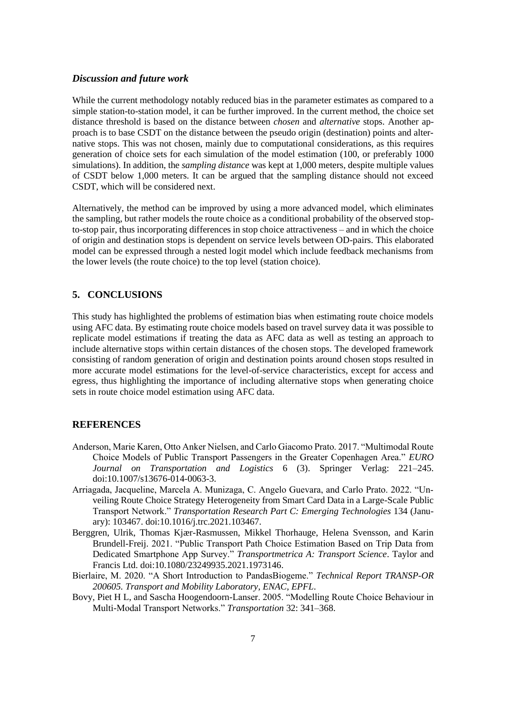#### *Discussion and future work*

While the current methodology notably reduced bias in the parameter estimates as compared to a simple station-to-station model, it can be further improved. In the current method, the choice set distance threshold is based on the distance between *chosen* and *alternative* stops. Another approach is to base CSDT on the distance between the pseudo origin (destination) points and alternative stops. This was not chosen, mainly due to computational considerations, as this requires generation of choice sets for each simulation of the model estimation (100, or preferably 1000 simulations). In addition, the *sampling distance* was kept at 1,000 meters, despite multiple values of CSDT below 1,000 meters. It can be argued that the sampling distance should not exceed CSDT, which will be considered next.

Alternatively, the method can be improved by using a more advanced model, which eliminates the sampling, but rather models the route choice as a conditional probability of the observed stopto-stop pair, thus incorporating differences in stop choice attractiveness – and in which the choice of origin and destination stops is dependent on service levels between OD-pairs. This elaborated model can be expressed through a nested logit model which include feedback mechanisms from the lower levels (the route choice) to the top level (station choice).

## **5. CONCLUSIONS**

This study has highlighted the problems of estimation bias when estimating route choice models using AFC data. By estimating route choice models based on travel survey data it was possible to replicate model estimations if treating the data as AFC data as well as testing an approach to include alternative stops within certain distances of the chosen stops. The developed framework consisting of random generation of origin and destination points around chosen stops resulted in more accurate model estimations for the level-of-service characteristics, except for access and egress, thus highlighting the importance of including alternative stops when generating choice sets in route choice model estimation using AFC data.

## **REFERENCES**

- Anderson, Marie Karen, Otto Anker Nielsen, and Carlo Giacomo Prato. 2017. "Multimodal Route Choice Models of Public Transport Passengers in the Greater Copenhagen Area." *EURO Journal on Transportation and Logistics* 6 (3). Springer Verlag: 221–245. doi:10.1007/s13676-014-0063-3.
- Arriagada, Jacqueline, Marcela A. Munizaga, C. Angelo Guevara, and Carlo Prato. 2022. "Unveiling Route Choice Strategy Heterogeneity from Smart Card Data in a Large-Scale Public Transport Network." *Transportation Research Part C: Emerging Technologies* 134 (January): 103467. doi:10.1016/j.trc.2021.103467.
- Berggren, Ulrik, Thomas Kjær-Rasmussen, Mikkel Thorhauge, Helena Svensson, and Karin Brundell-Freij. 2021. "Public Transport Path Choice Estimation Based on Trip Data from Dedicated Smartphone App Survey." *Transportmetrica A: Transport Science*. Taylor and Francis Ltd. doi:10.1080/23249935.2021.1973146.
- Bierlaire, M. 2020. "A Short Introduction to PandasBiogeme." *Technical Report TRANSP-OR 200605. Transport and Mobility Laboratory, ENAC, EPFL*.
- Bovy, Piet H L, and Sascha Hoogendoorn-Lanser. 2005. "Modelling Route Choice Behaviour in Multi-Modal Transport Networks." *Transportation* 32: 341–368.